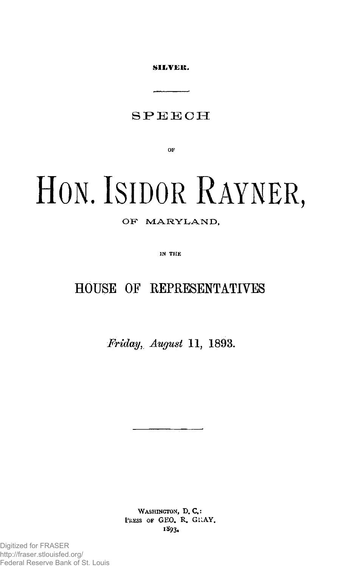SILVER.

### SPEEC H

**OF** 

# HON. ISIDOR RAYNER,

#### OF MARYLAND,

**IN THE** 

## HOUSE OF REPRESENTATIVES

*Friday, August* **11, 1893.** 

WASHINGTON, D.C.: PRESS OF GEO. R. GRAY. 1893.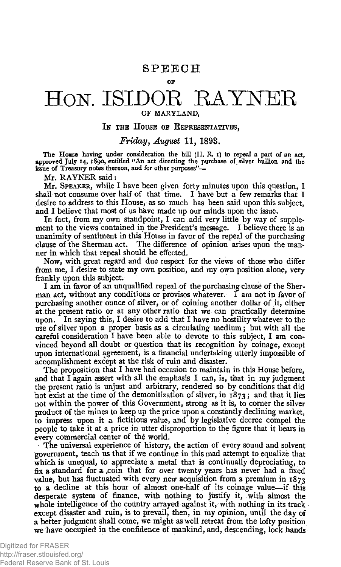#### **SPEECH OF**

# HON. ISIDOR RAYNER

#### OF MARYLAND,

#### IN THE HOUSE OF REPRESENTATIVES.

#### *Friday, August* **11, 1893.**

The House having under consideration the bill (H. R. I) to repeal a part of an act, approved July 14, 1890, entitled "An act directing the purchase of silver bullion and the<br>issue of Treasury notes thereon, and for other purposes"—

Mr. RAYNER said:

Mr. SPEAKER, while I have been given forty minutes upon this question, I shall not consume over half of that time. I have but a few remarks that I desire to address to this House, as so much has been said upon this subject, and I believe that most of us have made up our minds upon the issue.

In fact, from my own standpoint, I can add very little by way of supplement to the views contained in the President's message. I believe there is an unanimity of sentiment in this House in favor of the repeal of the purchasing clause of the Sherman act. The difference of opinion arises upon the manner in which that repeal should be effected.

Now, with great regard and due respect for the views of those who differ from me, I desire to state my own position, and my own position alone, very frankly upon this subject.

I am in favor of an unqualified repeal of the purchasing clause of the Sherman act, without any conditions or provisos whatever. I am not in favor of purchasing another ounce of silver, or of coining another dollar of it, either at the present ratio or at any other ratio that we can practically determine upon. In saying this, I desire to add that I have no hostility whatever to the use of silver upon a proper basis as a circulating medium j but with all the careful consideration I have been able to devote to this subject, I am convinced beyond all doubt or question that its recognition by coinage, except upon international agreement, is a financial undertaking utterly impossible of accomplishment except at the risk of ruin and disaster.

The proposition that I have had occasion to maintain in this House before, and that I again assert with all the emphasis I can, is, that in my judgment the present ratio is unjust and arbitrary, rendered so by conditions that did not exist at the time of the demonitization of silver, in  $1873$ ; and that it lies not within the power of this Government, strong as it is, to corner the silver product of the mines to keep up the price upon a constantly declining market, to impress upon it a fictitious value, and by legislative decree compel the people to take it at a price in utter disproportion to the figure that it bears in every commercial center of the world.

• The universal experience of history, the action of every sound and solvent government, teach us that if we continue in this mad attempt to equalize that which is unequal, to appreciate a metal that is continually depreciating, to fix a standard for a coin that for over twenty years has never had a fixed value, but has fluctuated with every new acquisition from a premium in  $1873$ to a decline at this hour of almost one-half of its coinage value—if this desperate system of finance, with nothing to justify it, with almost the whole intelligence of the country arrayed against it, with nothing in its track except disaster and ruin, is to prevail, then, in my opinion, until the day of a better judgment shall come, we might as well retreat from the lofty position we have occupied in the confidence of mankind, and, descending, lock hands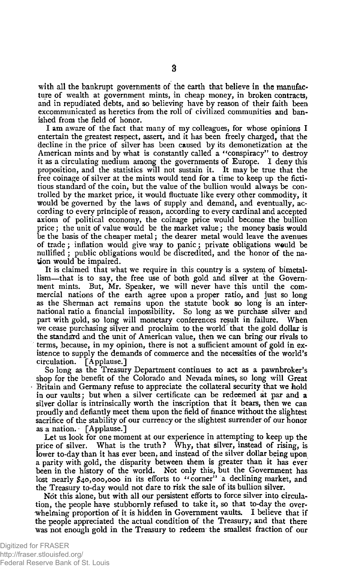with all the bankrupt governments of the earth that believe in the manufacture of wealth at government mints, in cheap money, in broken contracts, and in repudiated debts, and so believing have by reason of their faith been excommunicated as heretics from the roll of civilized communities and banished from the field of honor.

I am aware of the fact that many of my colleagues, for whose opinions I entertain the greatest respect, assert, and it has been freely charged, that the decline in the price of silver has been caused by its demonetization at the American mints and by what is constantly called a "conspiracy" to destroy it as a circulating medium among the governments of Europe. I deny this proposition, and the statistics will not sustain it. It may be true that the free coinage of silver at the mints would tend for a time to keep up the fictitious standard of the coin, but the value of the bullion would always be controlled by the market price, it would fluctuate like every other commodity, it would be governed by the laws of supply and demand, and eventually, according to every principle of reason, according to every cardinal and accepted axiom of political economy, the coinage price would become the bullion price; the unit of value would be the market value; the money basis would be the basis of the cheaper metal; the dearer metal would leave the avenues of trade; inflation would give way to panic; private obligations would be nullified; public obligations would be discredited, and the honor of the nation would be impaired.

It is claimed that what we require in this country is a system of bimetallism—that is to say, the free use of both gold and silver at the Government mints. But, Mr. Speaker, we will never have this until the commercial nations of the earth agree upon a proper ratio, and just so long as the Sherman act remains upon the statute book so long is an international ratio a financial impossibility. So long as we purchase silver and part with gold, so long will monetary conferences result in failure. When we cease purchasing silver and proclaim to the world that the gold dollar is the standard and the unit of American value, then we can bring our rivals to terms,,because, in my opinion, there is not a sufficient amount of gold in existence to supply the demands of commerce and the necessities of the world's circulation. [Applause.]

So long as the Treasury Department continues to act as a pawnbroker's shop for the benefit of the Colorado and Nevada mines, so long will Great Britain and Germany refuse to appreciate the collateral security that we hold in our vaults; but when a silver certificate can be redeemed at par and a silver dollar is intrinsically worth the inscription that it bears, then we can proudly and defiantly meet them upon the field of finance without the slightest sacrifice of the stability of our currency or the slightest surrender of our honor as a nation. ^ [Applause.]

Let us look for one moment at our experience in attempting to keep up the price of silver. What is the truth? Why, that silver, instead of rising, is lower to-day than it has ever been, and instead of the silver dollar being upon a parity with gold, the disparity between them is greater than it has ever been in the history of the world. Not only this, but the Government has lost nearly \$40,000,000 in its efforts to "corner" a declining market, and the Treasury to-day would not dare to risk the sale of its bullion silver.

Not this alone, but with all our persistent efforts to force silver into circulation, the people have stubbornly refused to take it, so that to-day the overwhelming proportion of it is hidden in Government vaults. I believe that if the people appreciated the actual condition of the Treasury; and that there was not enough gold in the Treasury to redeem the smallest fraction of our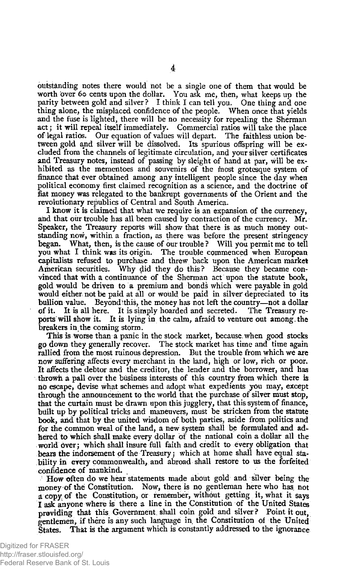outstanding notes there would not be a single one of them that would be worth over 60 cents upon the dollar. You ask me, then, what keeps up the parity between gold and silver ? I think I can tell you. One thing and one thing alone, the misplaced confidence of the people. When once that yields and the fuse is lighted, there will be no necessity for repealing the Sherman act; it will repeal itself immediately. Commercial ratios will take the place of legal ratios. Our equation of values will depart. The faithless union between gold and silver will be dissolved. Its spurious offspring will be excluded from the channels of legitimate circulation, and your silver certificates and Treasury notes, instead of passing by sleight of hand at par, will be exhibited as the mementoes and souvenirs of the most grotesque system of finance that ever obtained among any intelligent people since the day when political economy first claimed recognition as a science, and the doctrine of fiat money was relegated to the bankrupt governments of the Orient and the revolutionary republics of Central and South America.

I know it is claimed that what we require is an expansion of the currency, and that our trouble has all been caused by contraction of the currency. Mr. Speaker, the Treasury reports will show that there is as much money outstanding now, within a fraction, as there was before the present stringency began. What, then, is the cause of our trouble ? Will you permit me to tell you what I think was its origin. The trouble commenced when European capitalists refused to purchase and threw back upon the American market American securities. Why did they do this? Because they became convinced that with a continuance of the Sherman act upon the statute book, gold would be driven to a premium and bonds which were payable in gold would either not be paid at all or would be paid in silver depreciated to its bullion value. Beyond this, the money has not left the country—not a dollar of it. It is all here. It is simply hoarded and secreted. The Treasury reports will show it. It is lying in the calm, afraid to venture out among, the breakers in.the coming storm.

This is worse than a panic in the stock market, because, when good stocks go down they generally recover. The stock market has time and time again rallied from the most ruinous depression. But the trouble from which we are now suffering affects every merchant in the land, high or low, rich or poor. It affects the debtor and the creditor, the lender and the borrower, and has throwh a pall over the business interests of this country from which there is ri<) escape, devise what schemes and adopt what expedients you may, except through the announcement to the world that the purchase of silver must stop, that the curtain must be drawn upon this jugglery, that this system of finance, built up by political tricks and maneuvers, must be stricken from the statute book, arid that by the united wisdom of both parties, aside from politics and for the common weal of the land, a new system shall be formulated and adhered to which shall make every dollar of the national coin a dollar all the world over; which shall insure full faith and credit to every obligation that bears the indorsement of the Treasury; which at home shall have equal stability in every commonwealth, and abroad shall restore to us the forfeited confidence of mankind.

How often do we hear statements made about gold and silver being the money of the Constitution. Now, there is no gentleman here who has, not a copy, of the Constitution, or remember, without getting it, what it says I ask anyone where is there a line in the Constitution of the United States providing that this Government shall coin gold and silver? Point it out, gentlemen, if there is any such language in the Constitution of the United States. That is the argument which is constantly addressed to the ignorance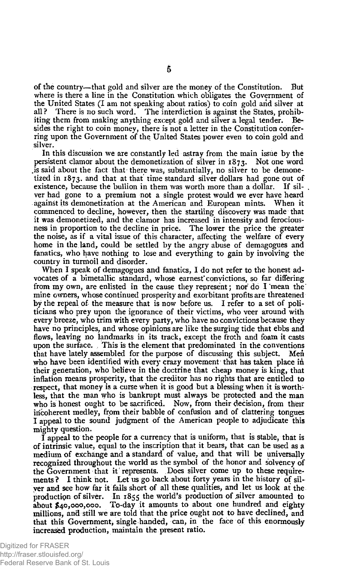of the country—that gold and silver are the money of the Constitution. But where is there a line in the Constitution which obligates the Government of the United States (I am not speaking about ratios) to coin gold arid silver at all ? There is no such word. The interdiction is against the States, prohibiting them from making anything except gold and silver a legal tender. Besides the right to coin money, there is not a letter in the Constitution conferring upon the Government of the United States power even to coin gold and silver.

In this discussion we are constantly led astray from the main issue by the persistent clamor about the demonetization of silver in 1873. Not one word .is said about the fact that there was, substantially, no silver to be demonetized in 1873, and that at that time standard silver dollars had gone out of existence, because the bullion in them was worth more than a dollar. If silver had gone to a premium not a single protest would we ever have heard against its demonetization at the American and European mints. When it commenced to decline, however, then the startling discovery was made that it was demonetized, and the clamor has increased in intensity and ferociousness in proportion to the decline in price. The lower the price the greater the noise, as if a vital issue of this character, affecting the welfare of every home in the land, could be settled by the angry abuse of demagogues and fanatics, who have nothing to lose and everything to gain by involving the country in turmoil and disorder.

When I speak of demagogues and fanatics, I do not refer to the honest advocates of a bimetallic standard, whose earnest convictions, so far differing from my own, are enlisted in the cause they represent; nor do I "mean the mine owners, whose continued prosperity and exorbitant profits are threatened by the repeal of the measure that is now before us. I refer to a set of politicians who prey upon the ignorance of their victims, who veer around with every breeze, who trim with every party, who have no convictions because they have no principles, and whose opinions are like the surging tide that ebbs and flows, leaving no landmarks in its track, except the froth and foam it casts upon the surface. This is the element that predominated in the conventions that have lately assembled for the purpose of discussing this subject. Men who have been identified with every crazy movement that has taken place in their generation, who believe in the doctrine that cheap money is king, that inflation means prosperity, that the creditor has no rights that are entitled to respect, that money is a curse when it is good but a blessing when it is worth**less,** that the man who is bankrupt must always be protected and the man who is honest ought to be sacrificed. Now, from their decision, from their incoherent medley, from their babble of confusion and of clattering tongues I appeal to the sound judgment of the American people to adjudicate this mighty question.

I appeal to the people for a currency that is uniform, that is stable, that is of intrinsic value, equal to the inscription that it bears, that can be used as a medium of exchange and a standard of value, and that will be universally recognized throughout the world as the symbol of the honor and solvency of the Government that it represents. Does silver come up to these requirements? I think not. Let us go back about forty years in the history of silyer and see how far it falls short of all these qualities, and let us look at the production of silver. In 1855 the world's production of silver amounted to about \$40,000,000. To-day it amounts to about one hundred and eighty millions, and still we are told that the price ought not to have declined, and that this Government, single handed, can, in the face of this enormously increased production, maintain the present ratio.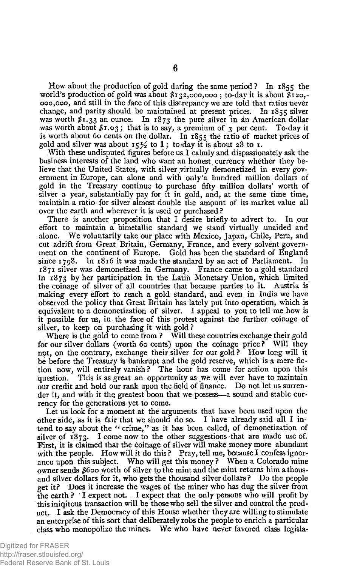How about the production of gold during the same period ? In 1855 the world's production of gold was about  $s_{132}$ ,000,000; to-day it is about  $s_{120}$ . 000,000, and still in the face of this discrepancy we are told that ratios never change, and parity should be maintained at present prices. In 1855 silver was worth  $s_1$ , 33 an ounce. In  $1873$  the pure silver in an American dollar was worth about  $x_1, o_3$ ; that is to say, a premium of 3 per cent. To-day it is worth about 60 cents on the dollar. In 1855 the ratio of market prices of gold and silver was about 15 $\frac{1}{2}$  to 1; to-day it is about 28 to 1.

With these undisputed figures before us I calmly and dispassionately ask the business interests of the land who want an honest currency whether they believe that the United States, with silver virtually demonetized in every government in Europe, can alone and with only\*a hundred million dollars of gold in the Treasury continue to purchase fifty million dollars' worth of silver a year, substantially pay for it in gold, and, at the same time time, maintain a ratio for silver almost double the amount of its market value all over the earth and wherever it is used or purchased ?

There is another proposition that I desire briefly to advert to. In our effort to maintain a bimetallic standard we stand virtually unaided and alone. We voluntarily take our place with Mexico, Japan, Chile, Peru, and cut adrift from Great Britain, Germany, France, and every solvent government on the continent of Europe. Gold has been the standard of England since 1798. In 1816 it was made the standard by an act of Parliament. In 1871 silver was demonetized in Germany. France came to a gold standard in 1873 by her participation in the Latin Monetary Union, which limited the coinage of silver of all countries that became parties to it. Austria is making every effort to reach a gold standard, and even in India we have observed the policy that Great Britain has lately put into operation, which is equivalent to a demonetization of silver. I appeal to you to tell me how is it possible for us, in the face of this protest against the further coinage of silver, to keep on purchasing it with gold?

Where is the gold to come from ? Will these countries exchange their gold for our silver dollars (worth 60 cents) upon the coinage price? Will they not, on the contrary, exchange their silver for our gold ? How long will it be before the Treasury is bankrupt and the gold reserve, which is a mere fiction now, will entirely vanish ? The hour has come for action upon this question. This is as great an opportunity as we will ever have to maintain our credit and hold our rank upon the field of finance. Do not let us surrender it, and with it thq greatest boon that we possess—a sound and stable currency for the generations yet to come.

Let us look for a moment at the arguments that have been used upon the other side, as it is fair that we should do so. I have already said all I intend to say about the " crime," as it has been called, of demonetization of silver of 1873. I come now to the other suggestions that are made use of. First, it is claimed that the coinage of silver will make money more abundant with the people. How will it do this? Pray, tell me, because I confess ignorance upon this subject. Who will get this money ? When a Colorado mine owner sends #600 worth of silver to the mint and the mint returns him a thousand silver dollars **5for** it, who gets the thousand silver dollars ? Do the people get it? Does it increase the wages of the miner who has dug the silver from the earth ? I expect not. I expect that the only persons who will profit by this iniqitous transaction will be those who sell the silver and control the product. I ask the Democracy of this House whether they are willing to stimulate an enterprise of this sort that deliberately robs the people to enrich a particular class who monopolize the mines. We who have never favored class legisla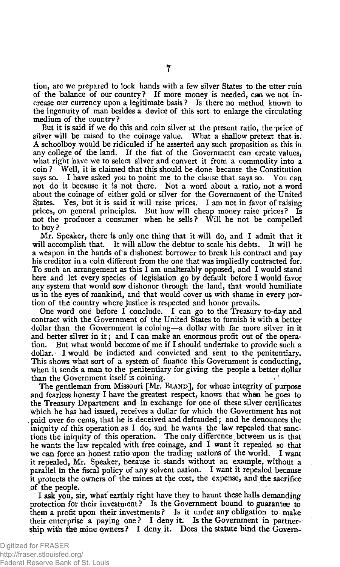tion, are we prepared to lock hands with a few silver States to the utter ruin of the balance of our country? If more money is needed, can we not increase our currency upon a legitimate basis? Is there no method known to the ingenuity of man besides a device of this sort to enlarge the circulating medium of the country ?

But it is said if we do this and coin silver at the present ratio, the price of silver will be raised to the coinage value. What a shallow pretext that is. A schoolboy would be ridiculed if he asserted any such proposition as this in any college of the land. If the fiat of the Government can create values, what right have we to select silver and convert it from a commodity into a coin ? Well, it is claimed that this should be done because the Constitution says so. I have asked you to point me to the clause that says so. You can not do it because it is not there. Not a word about a ratio, not a word about the coinage of either gold or silver for the Government of the United States. Yes, but it is said it will raise prices. I am not in favor of raising prices, on general principles. But how will cheap money raise prices? Is not the producer a consumer when he sells ? Will he not be compelled to buy ?

Mr. Speaker, there is only one thing that it will do, and I admit that it will accomplish that. It will allow the debtor to scale his debts. It will be a weapon in the hands of a dishonest borrower to break his contract and pay his creditor in a coin different from the one that was impliedly contracted for. To such an arrangement as this I am unalterably opposed, and I would stand here and let every species of legislation go by default before I would favor any system that would sow dishonor through the land, that would humiliate us in the eyes of mankind, and that would cover us with shame in every portion of the country where justice is respected and honor prevails.

One word one before I conclude. I can go to the Treasury to-day and contract with the Government of the United States to furnish it with a better dollar than the Government is coining—a dollar with far more silver in it and better silver in it; and I can make an enormous profit out of the operation. But what would become of me if I should undertake to provide such a dollar. I would be indicted and convicted and sent to the penitentiary. This shows what sort of a system of finance this Government is conducting, when it sends a man to the penitentiary for giving the people a better dollar than the Government itself is coining.

The gentleman from Missouri [Mr. BLAND], for whose integrity of purpose and fearless honesty I have the greatest respect, knows that whan he goes to the Treasury Department and in exchange for one of these silver certificates which he has had issued, receives a dollar for which the Government has not paid over 60 cents, that he is deceived and defrauded; and he denounces the iniquity of this operation as I do, and he wants the law repealed that sanctions the iniquity of this operation. The only difference between us is that he wants the law repealed with free coinage, and I want it repealed so that we can force an honest ratio upon the trading nations of the world. I want it repealed, Mr. Speaker, because it stands without an example, without a parallel in the fiscal policy of any solvent nation. I want it repealed because it protects the owners of the mines at the cost, the expense, and the sacrifice of the people.

I ask you, sir, whaf earthly right have they to haunt these halls demanding protection for their investment? Is the Government bound to guarantee to them a profit upon their investments ? Is it under any obligation to make their enterprise a paying one ? I deny it. Is the Government in partnership with the mine owners ? I deny it. Does the statute bind the Govern-